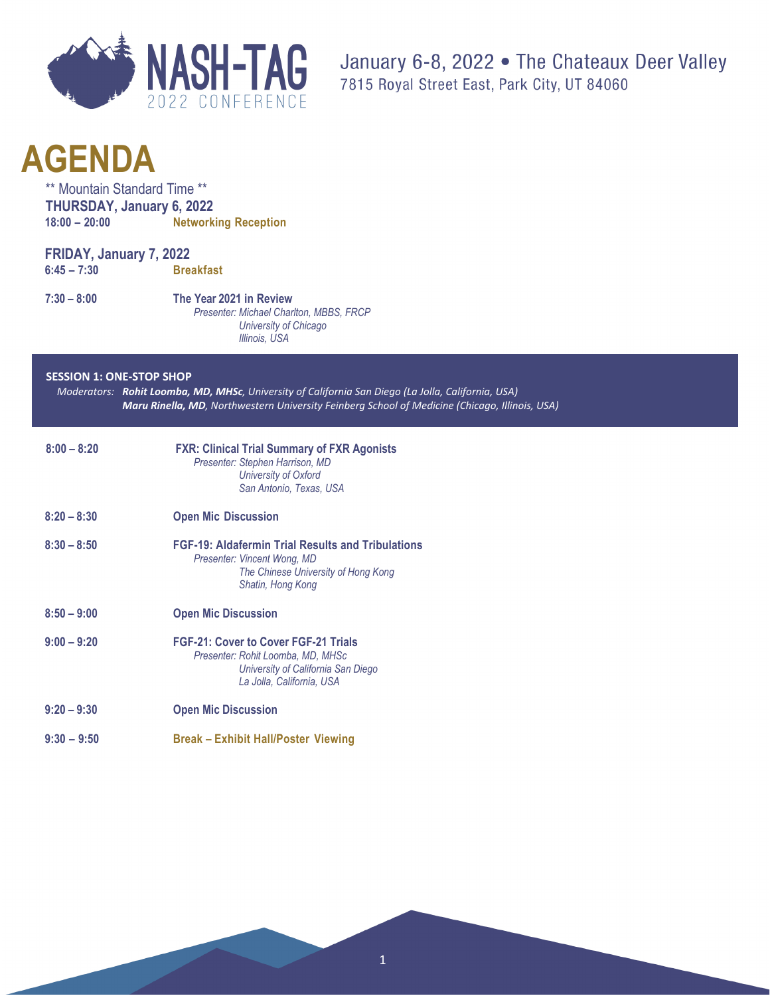

\*\* Mountain Standard Time \*\* **THURSDAY, January 6, 2022 18:00 – 20:00 Networking Reception**

| FRIDAY, January 7, 2022 |                  |
|-------------------------|------------------|
| $6:45 - 7:30$           | <b>Breakfast</b> |

**7:30 – 8:00 The Year 2021 in Review** *Presenter: Michael Charlton, MBBS, FRCP University of Chicago Illinois, USA* 

#### **SESSION 1: ONE-STOP SHOP**

*Moderators: Rohit Loomba, MD, MHSc, University of California San Diego (La Jolla, California, USA) Maru Rinella, MD, Northwestern University Feinberg School of Medicine (Chicago, Illinois, USA)*

| $8:00 - 8:20$ | <b>FXR: Clinical Trial Summary of FXR Agonists</b><br>Presenter: Stephen Harrison, MD<br>University of Oxford<br>San Antonio, Texas, USA            |
|---------------|-----------------------------------------------------------------------------------------------------------------------------------------------------|
| $8:20 - 8:30$ | <b>Open Mic Discussion</b>                                                                                                                          |
| $8:30 - 8:50$ | <b>FGF-19: Aldafermin Trial Results and Tribulations</b><br>Presenter: Vincent Wong, MD<br>The Chinese University of Hong Kong<br>Shatin, Hong Kong |
| $8:50 - 9:00$ | <b>Open Mic Discussion</b>                                                                                                                          |
| $9:00 - 9:20$ | <b>FGF-21: Cover to Cover FGF-21 Trials</b><br>Presenter: Rohit Loomba, MD, MHSc<br>University of California San Diego<br>La Jolla, California, USA |
| $9:20 - 9:30$ | <b>Open Mic Discussion</b>                                                                                                                          |
| $9:30 - 9:50$ | <b>Break – Exhibit Hall/Poster Viewing</b>                                                                                                          |

1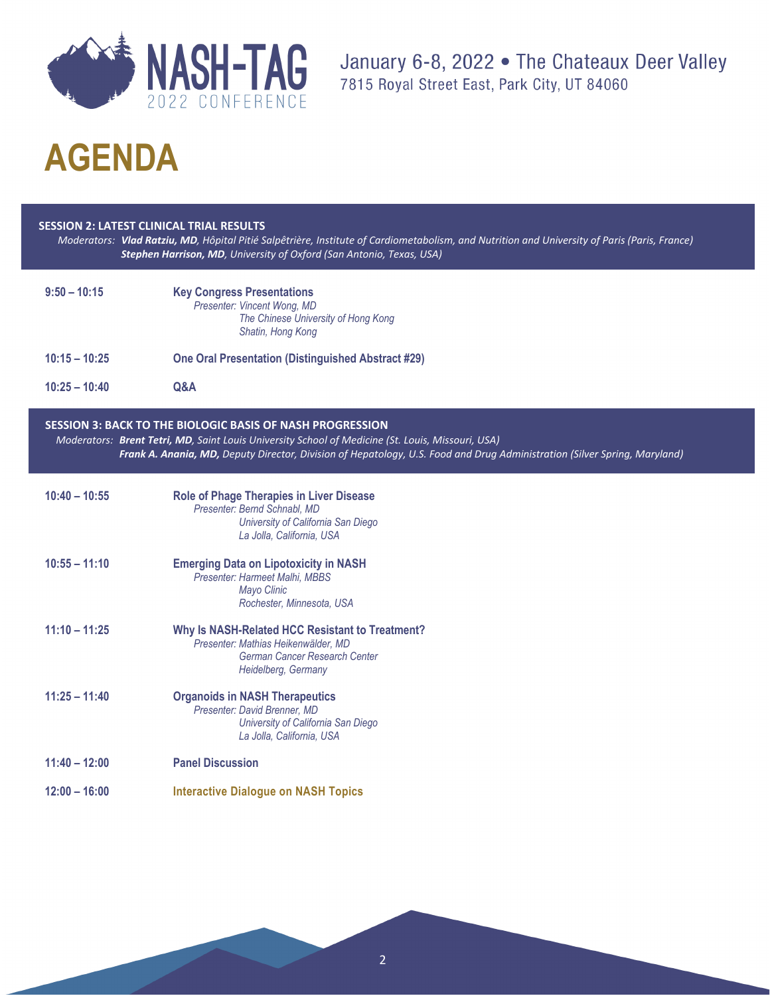

January 6-8, 2022 . The Chateaux Deer Valley 7815 Royal Street East, Park City, UT 84060

# **AGENDA**

#### **SESSION 2: LATEST CLINICAL TRIAL RESULTS**

*Moderators: Vlad Ratziu, MD, Hôpital Pitié Salpêtrière, Institute of Cardiometabolism, and Nutrition and University of Paris (Paris, France) Stephen Harrison, MD, University of Oxford (San Antonio, Texas, USA)*

| $9:50 - 10:15$  | <b>Key Congress Presentations</b><br>Presenter: Vincent Wong, MD<br>The Chinese University of Hong Kong<br>Shatin, Hong Kong                                                                                                                                                                       |
|-----------------|----------------------------------------------------------------------------------------------------------------------------------------------------------------------------------------------------------------------------------------------------------------------------------------------------|
| $10:15 - 10:25$ | <b>One Oral Presentation (Distinguished Abstract #29)</b>                                                                                                                                                                                                                                          |
| $10:25 - 10:40$ | Q&A                                                                                                                                                                                                                                                                                                |
|                 | <b>SESSION 3: BACK TO THE BIOLOGIC BASIS OF NASH PROGRESSION</b><br>Moderators: Brent Tetri, MD, Saint Louis University School of Medicine (St. Louis, Missouri, USA)<br>Frank A. Anania, MD, Deputy Director, Division of Hepatology, U.S. Food and Drug Administration (Silver Spring, Maryland) |
| $10:40 - 10:55$ | <b>Role of Phage Therapies in Liver Disease</b><br>Presenter: Bernd Schnabl, MD<br>University of California San Diego<br>La Jolla, California, USA                                                                                                                                                 |
| $10:55 - 11:10$ | <b>Emerging Data on Lipotoxicity in NASH</b><br>Presenter: Harmeet Malhi, MBBS<br>Mayo Clinic<br>Rochester, Minnesota, USA                                                                                                                                                                         |
| $11:10 - 11:25$ | Why Is NASH-Related HCC Resistant to Treatment?<br>Presenter: Mathias Heikenwälder, MD<br>German Cancer Research Center<br>Heidelberg, Germany                                                                                                                                                     |
| $11:25 - 11:40$ | <b>Organoids in NASH Therapeutics</b><br>Presenter: David Brenner, MD<br>University of California San Diego<br>La Jolla, California, USA                                                                                                                                                           |
| $11:40 - 12:00$ | <b>Panel Discussion</b>                                                                                                                                                                                                                                                                            |
| $12:00 - 16:00$ | <b>Interactive Dialogue on NASH Topics</b>                                                                                                                                                                                                                                                         |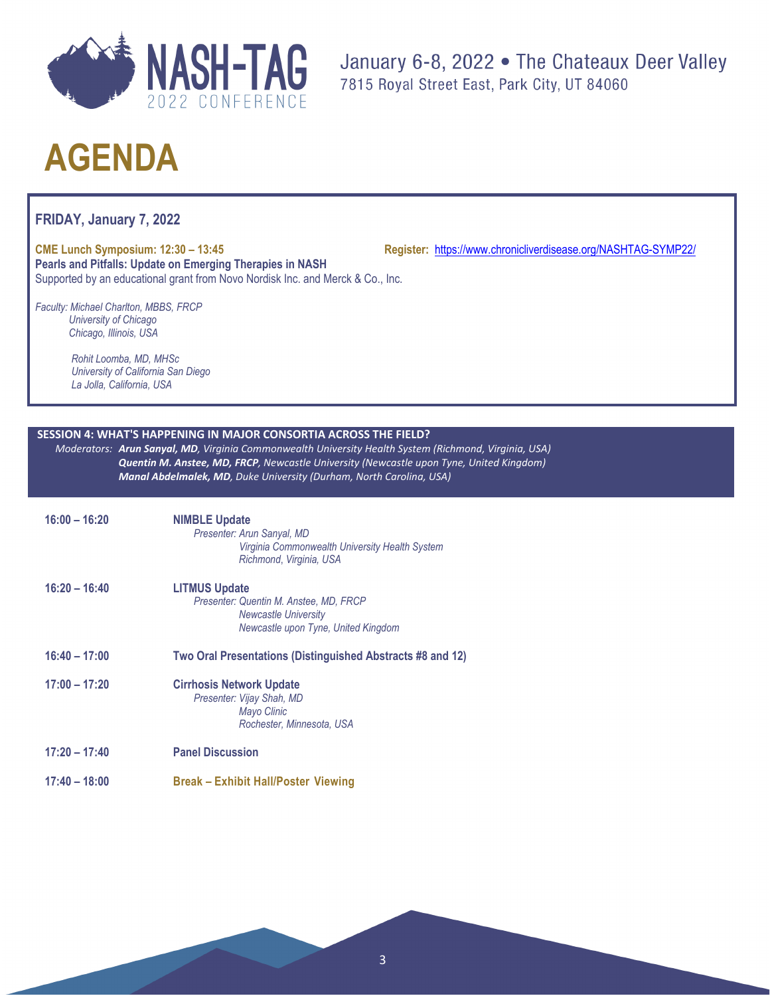

**FRIDAY, January 7, 2022**

**CME Lunch Symposium: 12:30 – 13:45 Register:** <https://www.chronicliverdisease.org/NASHTAG-SYMP22/> **Pearls and Pitfalls: Update on Emerging Therapies in NASH** Supported by an educational grant from Novo Nordisk Inc. and Merck & Co., Inc.

*Faculty: Michael Charlton, MBBS, FRCP University of Chicago Chicago, Illinois, USA*

> *Rohit Loomba, MD, MHSc University of California San Diego La Jolla, California, USA*

### **SESSION 4: WHAT'S HAPPENING IN MAJOR CONSORTIA ACROSS THE FIELD?**

*Moderators: Arun Sanyal, MD, Virginia Commonwealth University Health System (Richmond, Virginia, USA) Quentin M. Anstee, MD, FRCP, Newcastle University (Newcastle upon Tyne, United Kingdom) Manal Abdelmalek, MD, Duke University (Durham, North Carolina, USA)*

| $16:00 - 16:20$ | <b>NIMBLE Update</b><br>Presenter: Arun Sanyal, MD<br>Virginia Commonwealth University Health System<br>Richmond, Virginia, USA      |
|-----------------|--------------------------------------------------------------------------------------------------------------------------------------|
| $16:20 - 16:40$ | <b>LITMUS Update</b><br>Presenter: Quentin M. Anstee, MD, FRCP<br><b>Newcastle University</b><br>Newcastle upon Tyne, United Kingdom |
| $16:40 - 17:00$ | Two Oral Presentations (Distinguished Abstracts #8 and 12)                                                                           |
| $17:00 - 17:20$ | <b>Cirrhosis Network Update</b><br>Presenter: Vijay Shah, MD<br>Mayo Clinic<br>Rochester, Minnesota, USA                             |
| $17:20 - 17:40$ | <b>Panel Discussion</b>                                                                                                              |
| $17:40 - 18:00$ | <b>Break - Exhibit Hall/Poster Viewing</b>                                                                                           |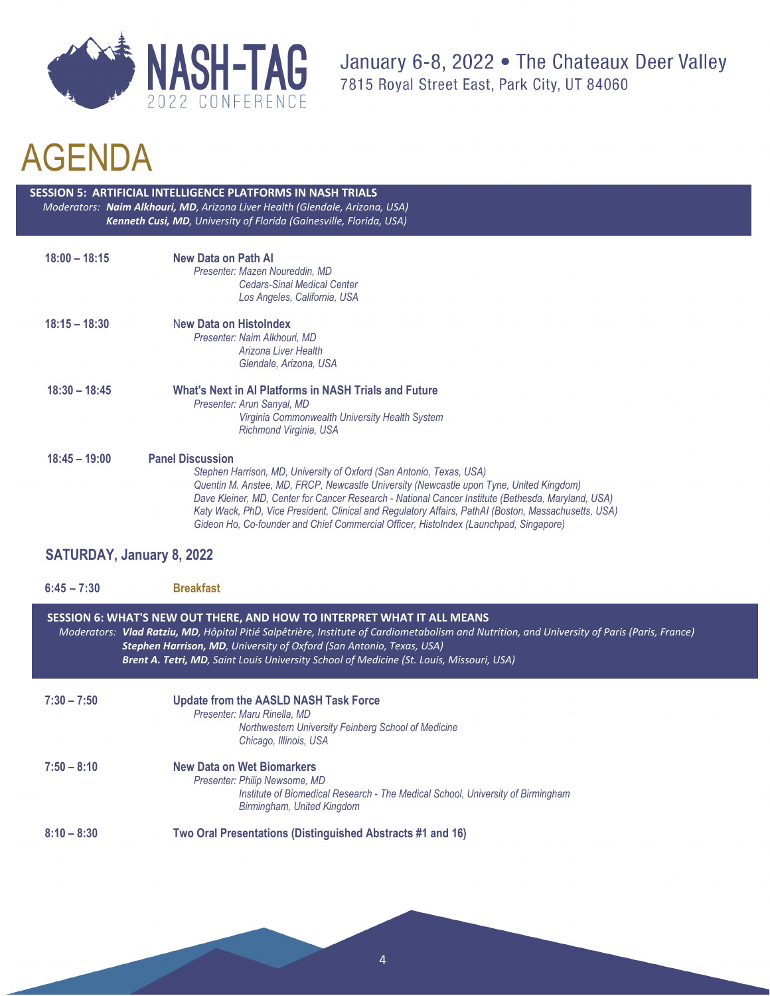

 **SESSION 5: ARTIFICIAL INTELLIGENCE PLATFORMS IN NASH TRIALS** *Moderators: Naim Alkhouri, MD, Arizona Liver Health (Glendale, Arizona, USA) Kenneth Cusi, MD, University of Florida (Gainesville, Florida, USA)*

| $18:00 - 18:15$ | New Data on Path Al<br>Presenter: Mazen Noureddin, MD<br>Cedars-Sinai Medical Center<br>Los Angeles, California, USA                                                                                                                                                                                                                                                                                     |
|-----------------|----------------------------------------------------------------------------------------------------------------------------------------------------------------------------------------------------------------------------------------------------------------------------------------------------------------------------------------------------------------------------------------------------------|
| $18:15 - 18:30$ | New Data on Histolndex<br>Presenter: Naim Alkhouri, MD<br>Arizona Liver Health<br>Glendale, Arizona, USA                                                                                                                                                                                                                                                                                                 |
| $18:30 - 18:45$ | What's Next in Al Platforms in NASH Trials and Future<br>Presenter: Arun Sanyal, MD<br>Virginia Commonwealth University Health System<br>Richmond Virginia, USA                                                                                                                                                                                                                                          |
| $18:45 - 19:00$ | <b>Panel Discussion</b><br>Stephen Harrison, MD, University of Oxford (San Antonio, Texas, USA)<br>Quentin M. Anstee, MD, FRCP, Newcastle University (Newcastle upon Tyne, United Kingdom)<br>Dave Kleiner, MD, Center for Cancer Research - National Cancer Institute (Bethesda, Maryland, USA)<br>Katy Wack, PhD, Vice President, Clinical and Regulatory Affairs, PathAI (Boston, Massachusetts, USA) |

### **SATURDAY, January 8, 2022**

| $6:45 - 7:30$ | <b>Breakfast</b>                                                                                                                                                                                                                                                                                                                                                                                            |
|---------------|-------------------------------------------------------------------------------------------------------------------------------------------------------------------------------------------------------------------------------------------------------------------------------------------------------------------------------------------------------------------------------------------------------------|
|               | SESSION 6: WHAT'S NEW OUT THERE, AND HOW TO INTERPRET WHAT IT ALL MEANS<br>Moderators: Vlad Ratziu, MD, Hôpital Pitié Salpêtrière, Institute of Cardiometabolism and Nutrition, and University of Paris (Paris, France)<br><b>Stephen Harrison, MD</b> , University of Oxford (San Antonio, Texas, USA)<br><b>Brent A. Tetri, MD</b> , Saint Louis University School of Medicine (St. Louis, Missouri, USA) |
| $7:30 - 7:50$ | <b>Update from the AASLD NASH Task Force</b><br>Presenter: Maru Rinella, MD<br>Northwestern University Feinberg School of Medicine<br>Chicago, Illinois, USA                                                                                                                                                                                                                                                |
| $7:50 - 8:10$ | New Data on Wet Biomarkers<br>Presenter: Philip Newsome, MD<br>Institute of Biomedical Research - The Medical School, University of Birmingham<br>Birmingham, United Kingdom                                                                                                                                                                                                                                |
| $8:10 - 8:30$ | Two Oral Presentations (Distinguished Abstracts #1 and 16)                                                                                                                                                                                                                                                                                                                                                  |

 *Gideon Ho, Co-founder and Chief Commercial Officer, HistoIndex (Launchpad, Singapore)*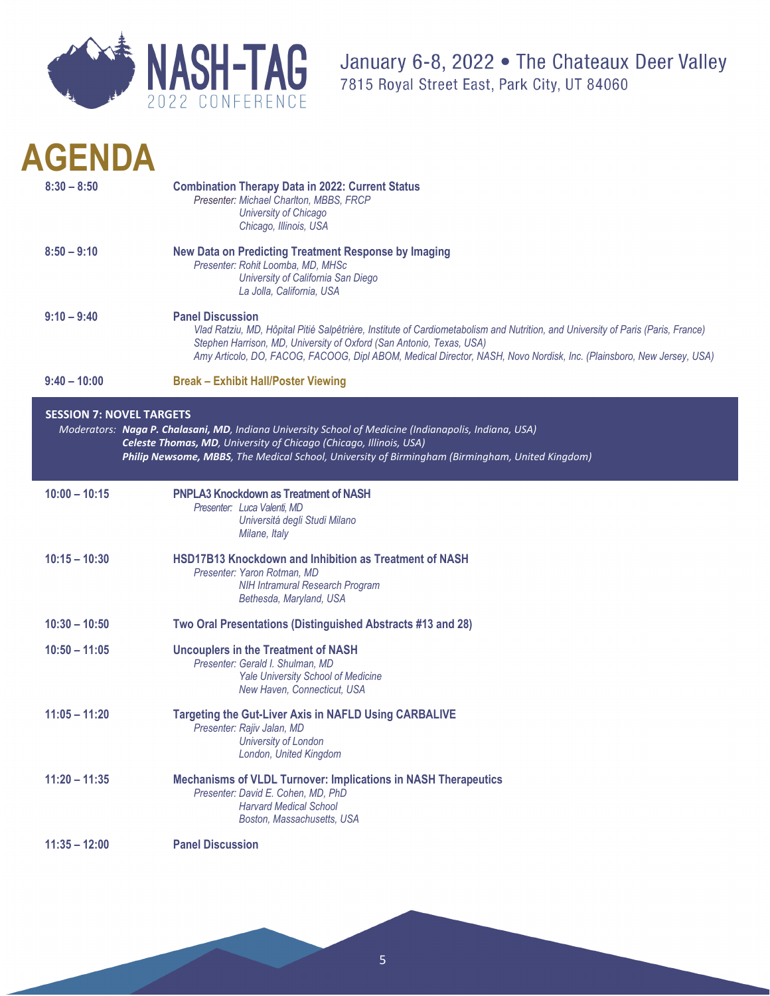

| <b>AGENDA</b>   |                                                                                                                                                                                                                                                                                                                                                             |
|-----------------|-------------------------------------------------------------------------------------------------------------------------------------------------------------------------------------------------------------------------------------------------------------------------------------------------------------------------------------------------------------|
| $8:30 - 8:50$   | <b>Combination Therapy Data in 2022: Current Status</b><br>Presenter: Michael Charlton, MBBS, FRCP<br>University of Chicago<br>Chicago, Illinois, USA                                                                                                                                                                                                       |
| $8:50 - 9:10$   | <b>New Data on Predicting Treatment Response by Imaging</b><br>Presenter: Rohit Loomba, MD, MHSc<br>University of California San Diego<br>La Jolla, California, USA                                                                                                                                                                                         |
| $9:10 - 9:40$   | <b>Panel Discussion</b><br>Vlad Ratziu, MD, Hôpital Pitié Salpêtrière, Institute of Cardiometabolism and Nutrition, and University of Paris (Paris, France)<br>Stephen Harrison, MD, University of Oxford (San Antonio, Texas, USA)<br>Amy Articolo, DO, FACOG, FACOOG, Dipl ABOM, Medical Director, NASH, Novo Nordisk, Inc. (Plainsboro, New Jersey, USA) |
| $9:40 - 10:00$  | <b>Break - Exhibit Hall/Poster Viewing</b>                                                                                                                                                                                                                                                                                                                  |
| $10:00 - 10:15$ | Moderators: Naga P. Chalasani, MD, Indiana University School of Medicine (Indianapolis, Indiana, USA)<br>Celeste Thomas, MD, University of Chicago (Chicago, Illinois, USA)<br>Philip Newsome, MBBS, The Medical School, University of Birmingham (Birmingham, United Kingdom)<br><b>PNPLA3 Knockdown as Treatment of NASH</b>                              |
|                 | Presenter: Luca Valenti, MD<br>Universitá degli Studi Milano<br>Milane, Italy                                                                                                                                                                                                                                                                               |
| $10:15 - 10:30$ | <b>HSD17B13 Knockdown and Inhibition as Treatment of NASH</b><br>Presenter: Yaron Rotman, MD<br><b>NIH Intramural Research Program</b><br>Bethesda, Maryland, USA                                                                                                                                                                                           |
| $10:30 - 10:50$ | Two Oral Presentations (Distinguished Abstracts #13 and 28)                                                                                                                                                                                                                                                                                                 |
| $10:50 - 11:05$ | <b>Uncouplers in the Treatment of NASH</b><br>Presenter: Gerald I. Shulman, MD<br>Yale University School of Medicine<br>New Haven, Connecticut, USA                                                                                                                                                                                                         |
| $11:05 - 11:20$ | <b>Targeting the Gut-Liver Axis in NAFLD Using CARBALIVE</b><br>Presenter: Rajiv Jalan, MD<br>University of London<br>London, United Kingdom                                                                                                                                                                                                                |
| $11:20 - 11:35$ | <b>Mechanisms of VLDL Turnover: Implications in NASH Therapeutics</b><br>Presenter: David E. Cohen, MD, PhD<br><b>Harvard Medical School</b><br>Boston, Massachusetts, USA                                                                                                                                                                                  |
| $11:35 - 12:00$ | <b>Panel Discussion</b>                                                                                                                                                                                                                                                                                                                                     |
|                 |                                                                                                                                                                                                                                                                                                                                                             |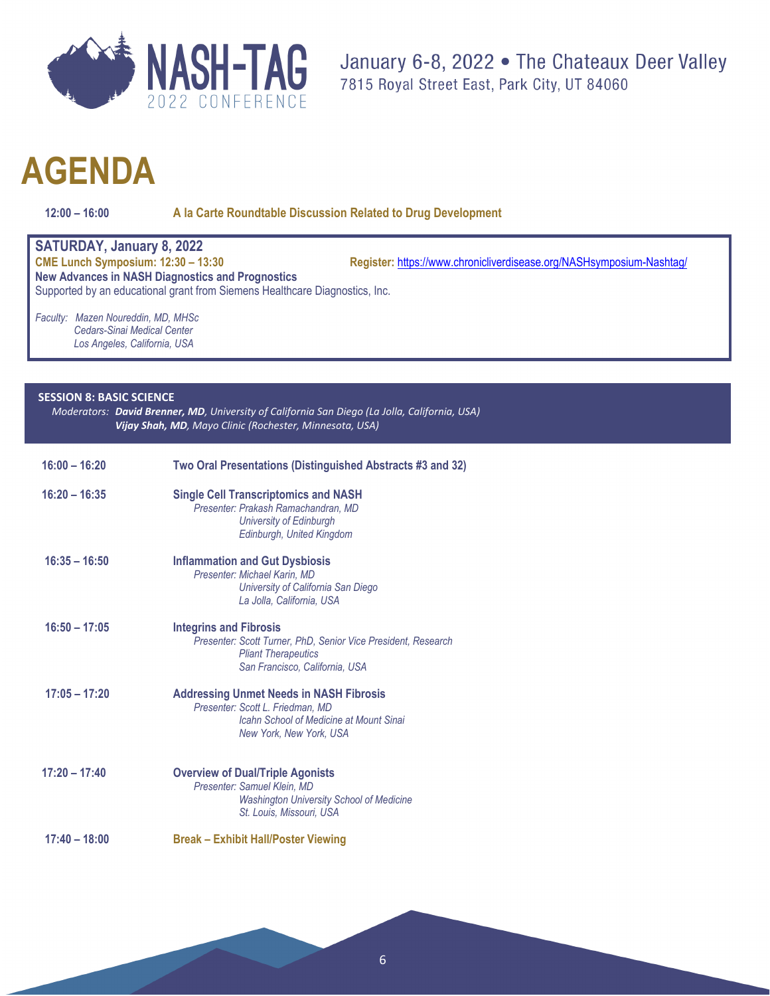

**12:00 – 16:00 A la Carte Roundtable Discussion Related to Drug Development**

**SATURDAY, January 8, 2022** Register: <https://www.chronicliverdisease.org/NASHsymposium-Nashtag/> **New Advances in NASH Diagnostics and Prognostics** Supported by an educational grant from Siemens Healthcare Diagnostics, Inc. *Faculty: Mazen Noureddin, MD, MHSc*

 *Cedars-Sinai Medical Center Los Angeles, California, USA*

### **SESSION 8: BASIC SCIENCE**

*Moderators: David Brenner, MD, University of California San Diego (La Jolla, California, USA) Vijay Shah, MD, Mayo Clinic (Rochester, Minnesota, USA)*

| $16:00 - 16:20$ | Two Oral Presentations (Distinguished Abstracts #3 and 32)                                                                                                      |
|-----------------|-----------------------------------------------------------------------------------------------------------------------------------------------------------------|
| $16:20 - 16:35$ | <b>Single Cell Transcriptomics and NASH</b><br>Presenter: Prakash Ramachandran, MD<br>University of Edinburgh<br>Edinburgh, United Kingdom                      |
| $16:35 - 16:50$ | <b>Inflammation and Gut Dysbiosis</b><br>Presenter: Michael Karin, MD<br>University of California San Diego<br>La Jolla, California, USA                        |
| $16:50 - 17:05$ | <b>Integrins and Fibrosis</b><br>Presenter: Scott Turner, PhD, Senior Vice President, Research<br><b>Pliant Therapeutics</b><br>San Francisco, California, USA  |
| $17:05 - 17:20$ | <b>Addressing Unmet Needs in NASH Fibrosis</b><br>Presenter: Scott L. Friedman, MD<br><b>Icahn School of Medicine at Mount Sinai</b><br>New York, New York, USA |
| $17:20 - 17:40$ | <b>Overview of Dual/Triple Agonists</b><br>Presenter: Samuel Klein, MD<br><b>Washington University School of Medicine</b><br>St. Louis, Missouri, USA           |
| $17:40 - 18:00$ | <b>Break - Exhibit Hall/Poster Viewing</b>                                                                                                                      |